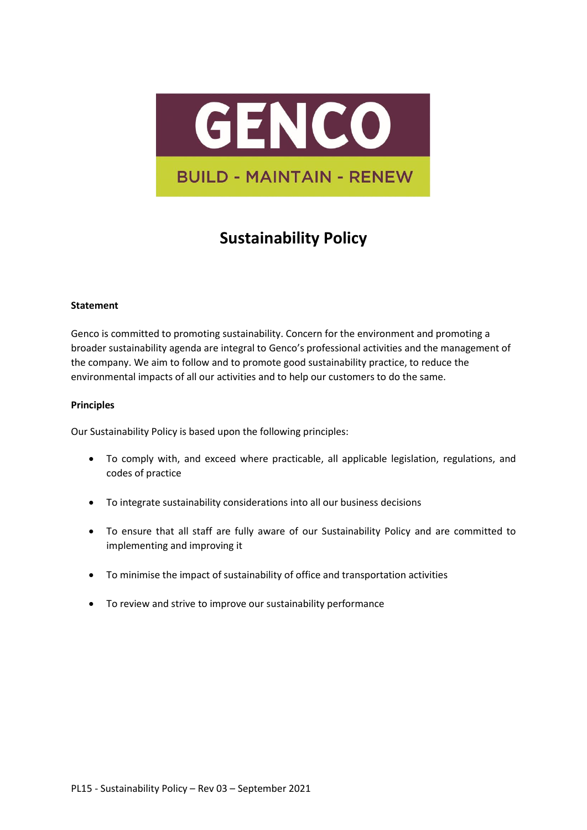

## **Sustainability Policy**

## **Statement**

Genco is committed to promoting sustainability. Concern for the environment and promoting a broader sustainability agenda are integral to Genco's professional activities and the management of the company. We aim to follow and to promote good sustainability practice, to reduce the environmental impacts of all our activities and to help our customers to do the same.

## **Principles**

Our Sustainability Policy is based upon the following principles:

- To comply with, and exceed where practicable, all applicable legislation, regulations, and codes of practice
- To integrate sustainability considerations into all our business decisions
- To ensure that all staff are fully aware of our Sustainability Policy and are committed to implementing and improving it
- To minimise the impact of sustainability of office and transportation activities
- To review and strive to improve our sustainability performance